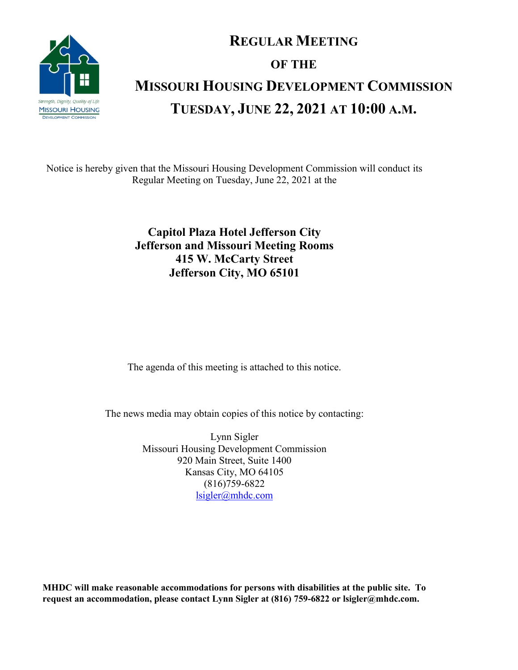

# **REGULAR MEETING OF THE MISSOURI HOUSING DEVELOPMENT COMMISSION TUESDAY, JUNE 22, 2021 AT 10:00 A.M.**

Notice is hereby given that the Missouri Housing Development Commission will conduct its Regular Meeting on Tuesday, June 22, 2021 at the

## **Capitol Plaza Hotel Jefferson City Jefferson and Missouri Meeting Rooms 415 W. McCarty Street Jefferson City, MO 65101**

The agenda of this meeting is attached to this notice.

The news media may obtain copies of this notice by contacting:

Lynn Sigler Missouri Housing Development Commission 920 Main Street, Suite 1400 Kansas City, MO 64105 (816)759-6822 [lsigler@mhdc.com](mailto:lsigler@mhdc.com)

**MHDC will make reasonable accommodations for persons with disabilities at the public site. To request an accommodation, please contact Lynn Sigler at (816) 759-6822 or lsigler@mhdc.com.**